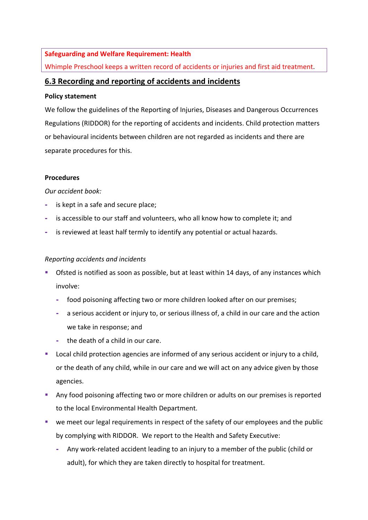## **Safeguarding and Welfare Requirement: Health**

Whimple Preschool keeps a written record of accidents or injuries and first aid treatment.

# **6.3 Recording and reporting of accidents and incidents**

### **Policy statement**

We follow the guidelines of the Reporting of Injuries, Diseases and Dangerous Occurrences Regulations (RIDDOR) for the reporting of accidents and incidents. Child protection matters or behavioural incidents between children are not regarded as incidents and there are separate procedures for this.

## **Procedures**

### *Our accident book:*

- **-** is kept in a safe and secure place;
- **-** is accessible to our staff and volunteers, who all know how to complete it; and
- **-** is reviewed at least half termly to identify any potential or actual hazards.

## *Reporting accidents and incidents*

- **•** Ofsted is notified as soon as possible, but at least within 14 days, of any instances which involve:
	- **-** food poisoning affecting two or more children looked after on our premises;
	- **-** a serious accident or injury to, or serious illness of, a child in our care and the action we take in response; and
	- **-** the death of a child in our care.
- Local child protection agencies are informed of any serious accident or injury to a child, or the death of any child, while in our care and we will act on any advice given by those agencies.
- Any food poisoning affecting two or more children or adults on our premises is reported to the local Environmental Health Department.
- we meet our legal requirements in respect of the safety of our employees and the public by complying with RIDDOR. We report to the Health and Safety Executive:
	- **-** Any work-related accident leading to an injury to a member of the public (child or adult), for which they are taken directly to hospital for treatment.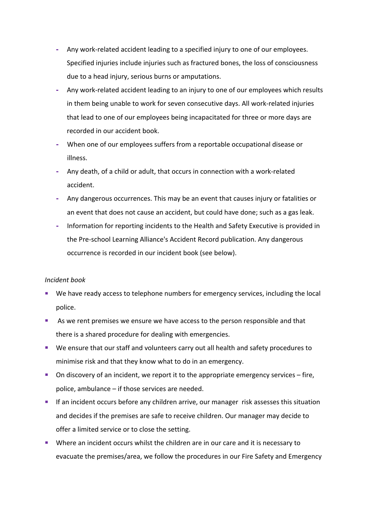- **-** Any work-related accident leading to a specified injury to one of our employees. Specified injuries include injuries such as fractured bones, the loss of consciousness due to a head injury, serious burns or amputations.
- **-** Any work-related accident leading to an injury to one of our employees which results in them being unable to work for seven consecutive days. All work-related injuries that lead to one of our employees being incapacitated for three or more days are recorded in our accident book.
- **-** When one of our employees suffers from a reportable occupational disease or illness.
- **-** Any death, of a child or adult, that occurs in connection with a work-related accident.
- **-** Any dangerous occurrences. This may be an event that causes injury or fatalities or an event that does not cause an accident, but could have done; such as a gas leak.
- **-** Information for reporting incidents to the Health and Safety Executive is provided in the Pre-school Learning Alliance's Accident Record publication. Any dangerous occurrence is recorded in our incident book (see below).

### *Incident book*

- We have ready access to telephone numbers for emergency services, including the local police.
- **EXTERGHTM** As we rent premises we ensure we have access to the person responsible and that there is a shared procedure for dealing with emergencies.
- We ensure that our staff and volunteers carry out all health and safety procedures to minimise risk and that they know what to do in an emergency.
- On discovery of an incident, we report it to the appropriate emergency services fire, police, ambulance – if those services are needed.
- If an incident occurs before any children arrive, our manager risk assesses this situation and decides if the premises are safe to receive children. Our manager may decide to offer a limited service or to close the setting.
- Where an incident occurs whilst the children are in our care and it is necessary to evacuate the premises/area, we follow the procedures in our Fire Safety and Emergency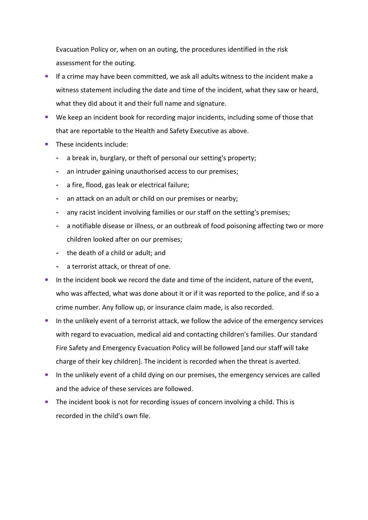Evacuation Policy or, when on an outing, the procedures identified in the risk assessment for the outing.

- If a crime may have been committed, we ask all adults witness to the incident make a witness statement including the date and time of the incident, what they saw or heard, what they did about it and their full name and signature.
- We keep an incident book for recording major incidents, including some of those that that are reportable to the Health and Safety Executive as above.
- These incidents include:
	- **-** a break in, burglary, or theft of personal our setting's property;
	- **-** an intruder gaining unauthorised access to our premises;
	- **-** a fire, flood, gas leak or electrical failure;
	- **-** an attack on an adult or child on our premises or nearby;
	- **-** any racist incident involving families or our staff on the setting's premises;
	- **-** a notifiable disease or illness, or an outbreak of food poisoning affecting two or more children looked after on our premises;
	- **-** the death of a child or adult; and
	- **-** a terrorist attack, or threat of one.
- In the incident book we record the date and time of the incident, nature of the event, who was affected, what was done about it or if it was reported to the police, and if so a crime number. Any follow up, or insurance claim made, is also recorded.
- In the unlikely event of a terrorist attack, we follow the advice of the emergency services with regard to evacuation, medical aid and contacting children's families. Our standard Fire Safety and Emergency Evacuation Policy will be followed [and our staff will take charge of their key children]. The incident is recorded when the threat is averted.
- **•** In the unlikely event of a child dying on our premises, the emergency services are called and the advice of these services are followed.
- The incident book is not for recording issues of concern involving a child. This is recorded in the child's own file.